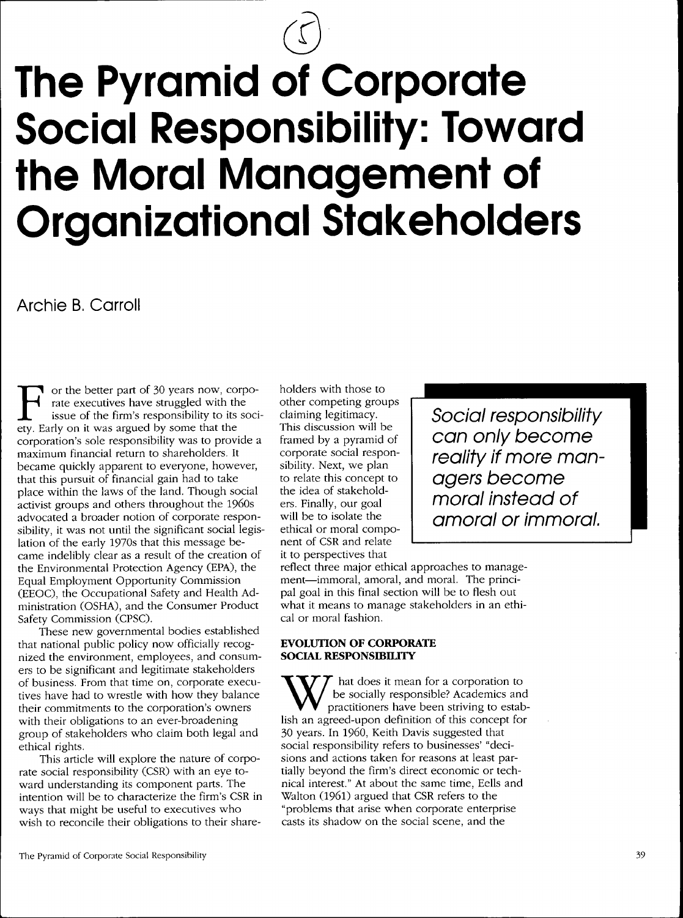# **The Pyramid of Corporate Social Responsibiiity: Toward the Morai Management of Organizational Stakeholders**

### Archie B. Carroll

For the better part of 30 years now, co<br>rate executives have struggled with the<br>issue of the firm's responsibility to its<br>ety. Early on it was argued by some that the or the better part of 30 years now, corporate executives have struggled with the issue of the firm's responsibility to its socicorporation's sole responsibility was to provide a maximum financial return to shareholders. It became quickly apparent to everyone, however, that this pursuit of financial gain had to take place within the laws of the land. Though social activist groups and others throughout the 1960s advocated a broader notion of corporate responsibility, it was not until the significant social legislation of the early 1970s that this message became indelibly clear as a result of the creation of the Environmental Protection Agency (EPA), the Equal Employment Opportunity Commission (EEOC), the Occupational Safety and Health Administration (OSHA), and the Consumer Product Safety Commission (CPSC).

These new governmental bodies established that national public policy now officially recognized the environment, employees, and consumers to be significant and legitimate stakeholders of business. Erom that time on, corporate executives have had to wrestle with how they balance their commitments to the corporation's owners with their obligations to an ever-broadening group of stakeholders who claim both legal and ethical rights.

This article will explore the nature of corporate social responsibility (CSR) with an eye toward understanding its component parts. The intention will be to characterize the firm's CSR in ways that might be useful to executives who wish to reconcile their obligations to their shareholders with those to other competing groups claiming legitimacy. This discussion will be framed by a pyramid of corporate social responsibility. Next, we plan to relate this concept to the idea of stakeholders. Einally, our goal will be to isolate the ethical or moral component of CSR and relate it to perspectives that

reflect three major ethical approaches to management—immoral, amoral, and moral. The principal goal in this final section will be to flesh out what it means to manage stakeholders in an ethical or moral fashion.

#### **EVOLUTION OF CORPORATE SOCIAL RESPONSIBILITY**

**W** hat does it mean for a corporation to be socially responsible? Academics and practitioners have been striving to establish an agreed-upon definition of this concept for hat does it mean for a corporation to be socially responsible? Academics and practitioners have been striving to estab-30 years. In I960, Keith Davis suggested that social responsibility refers to businesses' "decisions and actions taken for reasons at least partially beyond the firm's direct economic or technical interest." At about the same time, Eells and Walton (196I) argued that CSR refers to the "problems that arise when corporate enterprise casts its shadow on the social scene, and the

Social responsibility can only become reality if more managers become moral instead of amoral or immoral.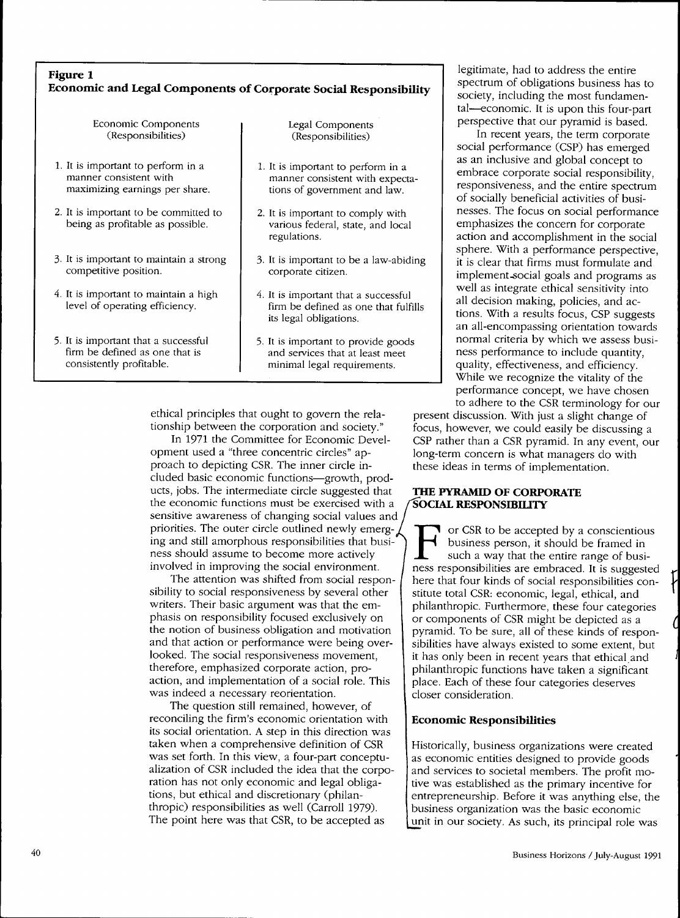#### **Figure 1 Economic and Legal Components of Corporate Social Responsibility** Economic Components (Responsibilities) 1. It is important to perform in a manner consistent with maximizing earnings per share. 2. It is important to be committed to being as profitable as possible. 3. It is important to maintain a strong competitive position. Legal Components (Responsibilities) 1. It is important to perform in a manner consistent with expectations of government and law. 2. It is important to comply with various federal, state, and local regulations. 3. It is important to be a law-abiding corporate citizen.

- 4. It is important to maintain a high level of operating efficiency.
- 5. It is important that a successful firm be defined as one that is consistently profitable.
- 4. It is important that a successful firm be defined as one that fulfills its legal obligations.
- *5.* It is important to provide goods and services that at least meet minimal legal requirements.

ethical principles that ought to govern the relationship between the corporation and society."

In 1971 the Committee for Economic Development used a "three concentric circles" approach to depicting CSR. The inner circle included basic economic functions—growth, products, jobs. The intermediate circle suggested that the economic functions must be exercised with a sensitive awareness of changing social values and priorities. The outer circle outlined newly emerging and still amorphous responsibilities that business should assume to become more actively involved in improving the social environment.

The attention was shifted from social responsibility to social responsiveness by several other writers. Their basic argument was that the emphasis on responsibility focused exclusively on the notion of business obligation and motivation and that action or performance were being overlooked. The social responsiveness movement, therefore, emphasized corporate action, proaction, and implementation of a social role. This was indeed a necessary reorientation.

The question still remained, however, of reconciling the firm's economic orientation with its social orientation. A step in this direction was taken when a comprehensive definition of CSR was set forth. In this view, a four-part conceptualization of CSR included the idea that the corporation has not only economic and legal obligations, but ethical and discretionary (philanthropic) responsibilities as well (Carroll 1979). The point here was that CSR, to be accepted as

legitimate, had to address the entire spectrum of obligations business has to society, including the most fundamental—economic. It is upon this four-part perspective that our pyramid is based.

In recent years, the term corporate social performance (CSP) has emerged as an inclusive and global concept to embrace corporate social responsibility, responsiveness, and the entire spectrum of socially beneficial activities of businesses. The focus on social performance emphasizes the concern for corporate action and accomplishment in the social sphere. With a performance perspective, it is clear that firms must formulate and implement-social goals and programs as well as integrate ethical sensitivity into all decision making, policies, and actions. With a results focus, CSP suggests an all-encompassing orientation towards normal criteria by which we assess business performance to include quantity, quality, effectiveness, and efficiency. While we recognize the vitality of the performance concept, we have chosen to adhere to the CSR terminology for our

present discussion. With just a slight change of focus, however, we could easily be discussing a CSP rather than a CSR pyramid. In any event, our long-term concern is what managers do with these ideas in terms of implementation.

## **THE PYRAMID OF CORPORATE**

**FF** or CSR to be accepted by a conscientious business person, it should be framed in such a way that the entire range of business responsibilities are embraced. It is suggested or CSR to be accepted by a conscientious business person, it should be framed in such a way that the entire range of busihere that four kinds of social responsibilities constitute total CSR: economic, legal, ethical, and philanthropic. Furthermore, these four categories or components of CSR might be depicted as a pyramid. To be sure, all of these kinds of responsibilities have always existed to some extent, but it has only been in recent years that ethical and philanthropic functions have taken a significant place. Each of these four categories deserves closer consideration.

#### **Economic Responsibilities**

Historically, business organizations were created as economic entities designed to provide goods and services to societal members. The profit motive was established as the primary incentive for entrepreneurship. Before it was anything else, the business organization was the basic economic unit in our society. As such, its principal role was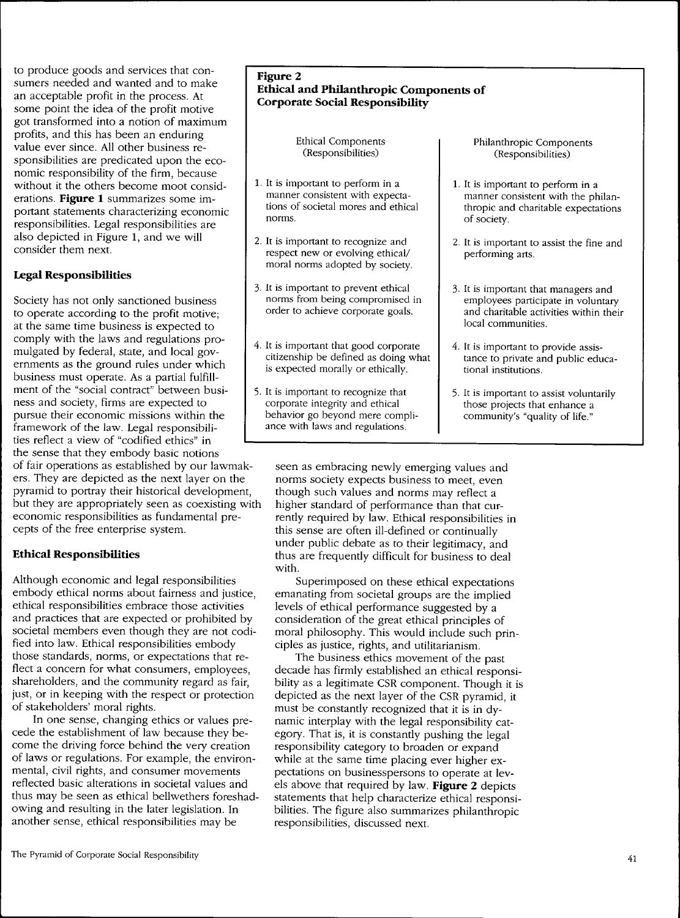to produce goods and services that consumers needed and wanted and to make an acceptable profit in the process. At some point the idea of the profit motive got transformed into a notion of maximum profits, and this has been an enduring value ever since. All other business responsibilities are predicated upon the economic responsibility of the firm, because without it the others become moot considerations. **Figure 1** summarizes some important statements characterizing economic responsibilities. Legal responsibilities are also depicted in Eigure 1, and we will consider them next.

#### **Legal Responsibilities**

Society has not only sanctioned business to operate according to the profit motive; at the same time business is expected to comply with the laws and regulations promulgated by federal, state, and local governments as the ground rules under which business must operate. As a partial fulfillment of the "social contract" between business and society, firms are expected to pursue their economic missions within the framework of the law. Legal responsibilities reflect a view of "codified ethics" in the sense that they embody basic notions of fair operations as established by our lawmakers. They are depicted as the next layer on the pyramid to portray their historical development, but they are appropriately seen as coexisting with economic responsibilities as fundamental precepts of the free enterprise system.

#### **Ethical Responsibilities**

Although economic and legal responsibilities embody ethical norms about fairness and justice, ethical responsibilities embrace those activities and practices that are expected or prohibited by societal members even though they are not codified into law. Ethical responsibilities embody those standards, norms, or expectations that reflect a concern for what consumers, employees, shareholders, and the community regard as fair, just, or in keeping with the respect or protection of stakeholders' moral rights.

In one sense, changing ethics or values precede the establishment of law because they become the driving force behind the very creation of laws or regulations. Eor example, the environmental, civil rights, and consumer movements reflected basic alterations in societal values and thus may be seen as ethical bellwethers foreshadowing and resulting in the later legislation. In another sense, ethical responsibilities may be

#### **Figure 2 Ethical and Philanthropic Components of Corporate Social Responsibility**

Ethical Components (Responsibilities)

- 1. It is important to perform in a manner consistent with expectations of societal mores and ethical norms.
- 2. It is important to recognize and respect new or evolving ethical/ moral norms adopted by society.
- 3. It is important to prevent ethical norms from being compromised in order to achieve corporate goals.
- 4. It is important that good corporate citizenship be defined as doing what is expected morally or ethically.
- 5. It is important to recognize that corporate integrity and ethical behavior go beyond mere compliance with laws and regulations.

Philanthropic Components (Responsibilities)

- 1. It is important to perform in a manner consistent with the philanthropic and charitable expectations of society.
- 2. It is important to assist the fine and performing arts.
- 3. It is important that managers and employees participate in voluntary and charitable activities within their local communities.
- 4. It is important to provide assistance to private and public educational institutions.
- 5. It is important to assist voluntarily those projects that enhance a community's "quality of life."

seen as embracing newly emerging values and norms society expects business to meet, even though such values and norms may reflect a higher standard of performance than that currently required by law. Ethical responsibilities in this sense are often ill-defined or continually under public debate as to their legitimacy, and thus are frequently difñcult for business to deal with.

Superimposed on these ethical expectations emanating from societal groups are the implied levels of ethical performance suggested by a consideration of the great ethical principles of moral philosophy. This would include such principles as justice, rights, and utilitarianism.

The business ethics movement of the past decade has firmly established an ethical responsibility as a legitimate CSR component. Though it is depicted as the next layer of the CSR pyramid, it must be constantly recognized that it is in dynamic interplay with the legal responsibility category. That is, it is constantly pushing the legal responsibility category to broaden or expand while at the same time placing ever higher expectations on businesspersons to operate at levels above that required by law. **Figure 2** depicts statements that help characterize ethical responsibilities. The figure also summarizes philanthropic responsibilities, discussed next.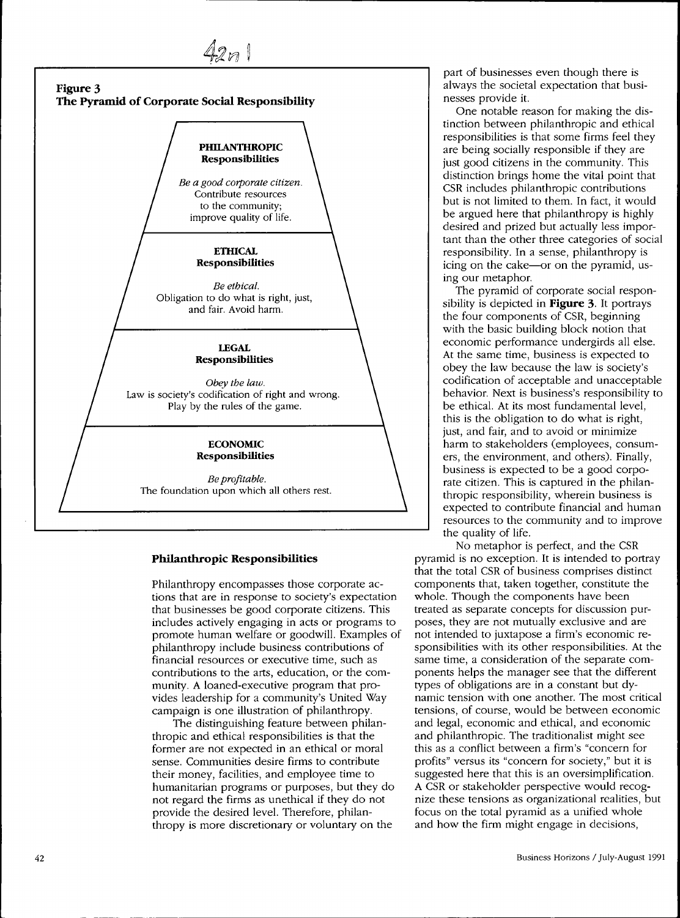

#### **Philanthropic Responsibilities**

Philanthropy encompasses those corporate actions that are in response to society's expectation that businesses be good corporate citizens. This includes actively engaging in acts or programs to promote human welfare or goodwill. Examples of philanthropy include business contributions of financial resources or executive time, such as contributions to the arts, education, or the community. A loaned-executive program that provides leadership for a community's United Way campaign is one illustration of philanthropy.

The distinguishing feature between philanthropic and ethical responsibilities is that the former are not expected in an ethical or moral sense. Communities desire firms to contribute their money, facilities, and employee time to humanitarian programs or purposes, but they do not regard the firms as unethical if they do not provide the desired level. Therefore, philanthropy is more discretionary or voluntary on the

part of businesses even though there is always the societal expectation that businesses provide it.

One notable reason for making the distinction between philanthropic and ethical responsibilities is that some firms feel they are being socially responsible if they are just good citizens in the community. This distinction brings home the vital point that CSR includes philanthropic contributions but is not limited to them. In fact, it would be argued here that philanthropy is highly desired and prized but actually less important than the other three categories of social responsibility. In a sense, philanthropy is icing on the cake—or on the pyramid, using our metaphor.

The pyramid of corporate social responsibility is depicted in **Figure 3-** It portrays the four components of CSR, beginning with the basic building block notion that economic performance undergirds all else. At the same time, business is expected to obey the law because the law is society's codification of acceptable and unacceptable behavior. Next is business's responsibility to be ethical. At its most fundamental level, this is the obligation to do what is right, just, and fair, and to avoid or minimize harm to stakeholders (employees, consumers, the environment, and others). Finally, business is expected to be a good corporate citizen. This is captured in the philanthropic responsibility, wherein business is expected to contribute financial and human resources to the community and to improve the quality of life.

No metaphor is perfect, and the CSR pyramid is no exception. It is intended to portray that the total CSR of business comprises distinct components that, taken together, constitute the whole. Though the components have been treated as separate concepts for discussion purposes, they are not mutually exclusive and are not intended to juxtapose a firm's economic responsibilities with its other responsibilities. At the same time, a consideration of the separate components helps the manager see that the different types of obligations are in a constant but dynamic tension with one another. The most critical tensions, of course, would be between economic and legal, economic and ethical, and economic and philanthropic. The traditionalist might see this as a conflict between a firm's "concern for profits" versus its "concern for society," but it is suggested here that this is an oversimplification. A CSR or stakeholder perspective would recognize these tensions as organizational realities, but focus on the total pyramid as a unified whole and how the firm might engage in decisions.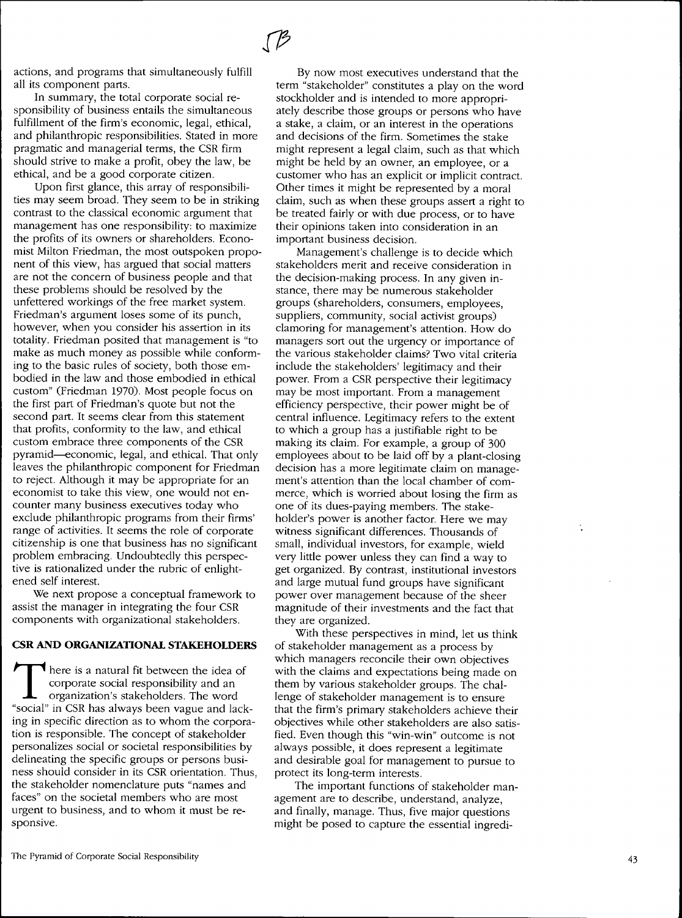actions, and programs that simultaneously fulfill all its component parts.

In summary, the total corporate social responsibility of business entails the simultaneous fulfillment of the firm's economic, legal, ethical, and philanthropic responsibilities. Stated in more pragmatic and managerial terms, the CSR firm should strive to make a profit, obey the law, be ethical, and be a good corporate citizen.

Upon first glance, this array of responsibilities may seem broad. They seem to be in striking contrast to the classical economic argument that management has one responsibility: to maximize the profits of its owners or shareholders. Economist Milton Friedman, the most outspoken proponent of this view, has argued that social matters are not the concern of business people and that these problems should be resolved by the unfettered workings of the free market system. Friedman's argument loses some of its punch, however, when you consider his assertion in its totality. Friedman posited that management is "to make as much money as possible while conforming to the basic rules of society, both those embodied in the law and those embodied in ethical custom" (Friedman 1970). Most people focus on the first part of Friedman's quote but not the second part. It seems clear from this statement that profits, conformity to the law, and ethical custom embrace three components of the CSR pyramid—economic, legal, and ethical. That only leaves the philanthropic component for Friedman to reject. Although it may be appropriate for an economist to take this view, one would not encounter many business executives today who exclude philanthropic programs from their firms' range of activities. It seems the role of corporate citizenship is one that business has no significant problem embracing. Undoubtedly this perspective is rationalized under the rubric of enlightened self interest.

We next propose a conceptual framework to assist the manager in integrating the four CSR components with organizational stakeholders.

#### **CSR AND ORGANIZATIONAL STAKEHOLDERS**

There is a natural fit between the idea of corporate social responsibility and an organization's stakeholders. The word "social" in CSR has always been vague and lackhere is a natural fit between the idea of corporate social responsibility and an organization's stakeholders. The word ing in specific direction as to whom the corporation is responsible. The concept of stakeholder personalizes social or societal responsibilities by delineating the specific groups or persons business should consider in its CSR orientation. Thus, the stakeholder nomenclature puts "names and faces" on the societal members who are most urgent to business, and to whom it must be responsive.

By now most executives understand that the term "stakeholder" constitutes a play on the word stockholder and is intended to more appropriately describe those groups or persons who have a stake, a claim, or an interest in the operations and decisions of the firm. Sometimes the stake might represent a legal claim, such as that which might be held by an owner, an employee, or a customer who has an explicit or implicit contract. Other times it might be represented by a moral claim, such as when these groups assert a right to be treated fairly or with due process, or to have their opinions taken into consideration in an important business decision.

Management's challenge is to decide which stakeholders merit and receive consideration in the decision-making process. In any given instance, there may be numerous stakeholder groups (shareholders, consumers, employees, suppliers, community, social activist groups) clamoring for management's attention. How do managers sort out the urgency or importance of the various stakeholder claims? Two vital criteria include the stakeholders' legitimacy and their power. From a CSR perspective their legitimacy may be most important. From a management efficiency perspective, their power might be of central influence. Legitimacy refers to the extent to which a group has a justifiable right to be making its claim. For example, a group of 300 employees about to be laid off by a plant-closing decision has a more legitimate claim on management's attention than the local chamber of commerce, which is worried about losing the firm as one of its dues-paying members. The stakeholder's power is another factor. Here we may witness significant differences. Thousands of small, individual investors, for example, wield very little power unless they can find a way to get organized. By contrast, institutional investors and large mutual fund groups have significant power over management because of the sheer magnitude of their investments and the fact that they are organized.

With these perspectives in mind, let us think of stakeholder management as a process by which managers reconcile their own objectives with the claims and expectations being made on them by various stakeholder groups. The challenge of stakeholder management is to ensure that the firm's primary stakeholders achieve their objectives while other stakeholders are also satisfied. Even though this "win-win" outcome is not always possible, it does represent a legitimate and desirable goal for management to pursue to protect its long-term interests.

The important functions of stakeholder management are to describe, understand, analyze, and finally, manage. Thus, five major questions might be posed to capture the essential ingredi-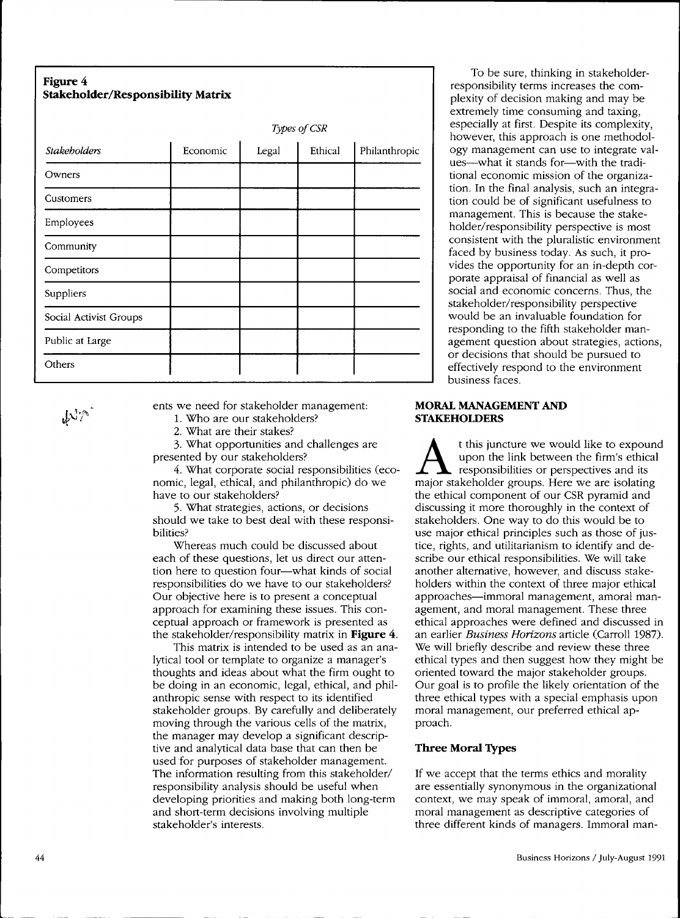| Figure 4<br>Stakeholder/Responsibility Matrix |              |       |         |               |
|-----------------------------------------------|--------------|-------|---------|---------------|
|                                               | Types of CSR |       |         |               |
| Stakeholders                                  | Economic     | Legal | Ethical | Philanthropic |
| Owners                                        |              |       |         |               |
| Customers                                     |              |       |         |               |
| Employees                                     |              |       |         |               |
| Community                                     |              |       |         |               |
| Competitors                                   |              |       |         |               |
| Suppliers                                     |              |       |         |               |
| Social Activist Groups                        |              |       |         |               |
| Public at Large                               |              |       |         |               |
| Others                                        |              |       |         |               |

 $L\sqrt[4]{\wedge}$ 

ents we need for stakeholder management:

1. Who are our stakeholders?

2. What are their stakes?

3. What opportunities and challenges are presented by our stakeholders?

4. What corporate social responsibilities (economic, legal, ethical, and philanthropic) do we have to our stakeholders?

5. What strategies, actions, or decisions should we take to best deal with these responsibilities?

Whereas much could be discussed about each of these questions, let us direct our attention here to question four—what kinds of social responsibilities do we have to our stakeholders? Our objective here is to present a conceptual approach for examining these issues. This conceptual approach or framework is presented as the stakeholder/responsibility matrix in **Figure 4.**

This matrix is intended to be used as an analytical tool or template to organize a manager's thoughts and ideas about what the firm ought to be doing in an economic, legal, ethical, and philanthropic sense with respect to its identified stakeholder groups. By carefully and deliberately moving through the various cells of the matrix, the manager may develop a significant descriptive and analytical data base that can then be used for purposes of stakeholder management. The information resulting from this stakeholder/ responsibility analysis should be useful when developing priorities and making both long-term and short-term decisions involving multiple stakeholder's interests.

To be sure, thinking in stakeholderresponsibility terms increases the complexity of decision making and may be extremely time consuming and taxing, especially at first. Despite its complexity, however, this approach is one methodology management can use to integrate values—^what it stands for—with the traditional economic mission of the organization. In the final analysis, such an integration could be of significant usefulness to management. This is because the stakeholder/responsibility perspective is most consistent with the pluralistic environment faced by business today. As such, it provides the opportunity for an in-depth corporate appraisal of financial as well as social and economic concerns. Thus, the stakeholder/responsibility perspective would be an invaluable foundation for responding to the fifth stakeholder management question about strategies, actions, or decisions that should be pursued to effectively respond to the environment business faces.

#### **MORAL MANAGEMENT AND STAKEHOLDERS**

A this juncture we would like to expour upon the link between the firm's ethical responsibilities or perspectives and its major stakeholder groups. Here we are isolating t this juncture we would like to expound upon the link between the firm's ethical responsibilities or perspectives and its the ethical component of our CSR pyramid and discussing it more thoroughly in the context of stakeholders. One way to do this would be to use major ethical principles such as those of justice, rights, and utilitarianism to identify and describe our ethical responsibilities. We will take another alternative, however, and discuss stakeholders within the context of three major ethical approaches—immoral management, amoral management, and moral management. These three ethical approaches were defined and discussed in an earlier *Business Horizons* article (Carroll 1987). We will briefly describe and review these three ethical types and then suggest how they might be oriented toward the major stakeholder groups. Our goal is to profile the likely orientation of the three ethical types with a special emphasis upon moral management, our preferred ethical approach.

#### **Three Moral Types**

If we accept that the terms ethics and morality are essentially synonymous in the organizational context, we may speak of immoral, amoral, and moral management as descriptive categories of three different kinds of managers. Immoral man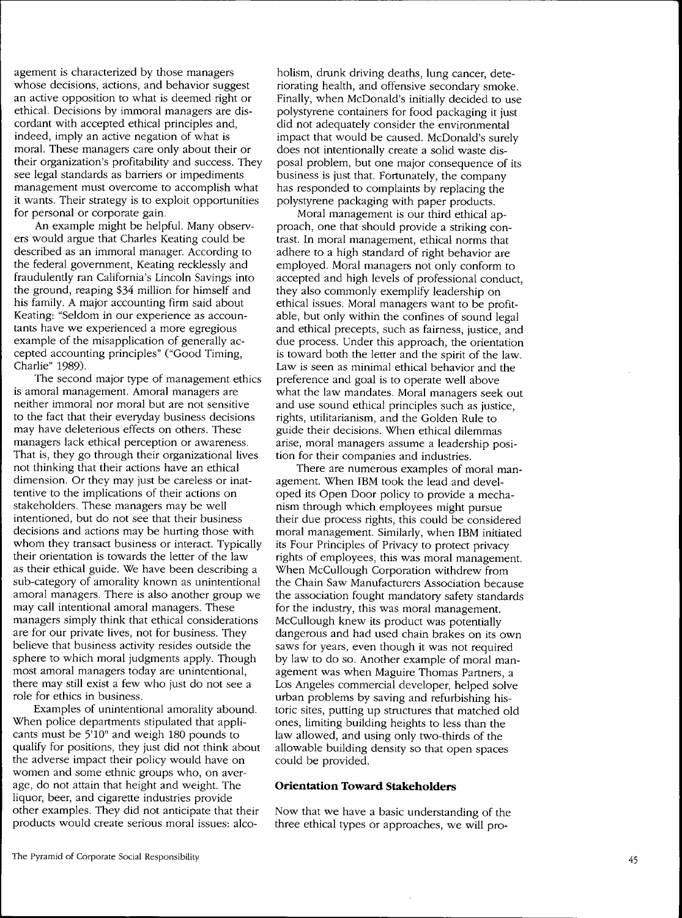agement is characterized by those managers whose decisions, actions, and behavior suggest an active opposition to what is deemed right or ethical. Decisions by immoral managers are discordant with accepted ethical principles and, indeed, imply an active negation of what is moral. These managers care only about their or their organization's profitability and success. They see legal standards as barriers or impediments management must overcome to accomplish what it wants. Their strategy is to exploit opportunities for personal or corporate gain.

An example might be helpful. Many observers would argue that Charles Keating could be described as an immoral manager. According to the federal government, Keating recklessly and fraudulently ran California's Lincoln Savings into the ground, reaping \$34 million for himself and his family. A major accounting firm said about Keating: "Seldom in our experience as accountants have we experienced a more egregious example of the misapplication of generally accepted accounting principles" ("Good Timing, Charlie" 1989).

The second major type of management ethics is amoral management. Amoral managers are neither immoral nor moral but are not sensitive to the fact that their everyday business decisions may have deleterious effects on others. These managers lack ethical perception or awareness. That is, they go through their organizational lives not thinking that their actions have an ethical dimension. Or they may just be careless or inattentive to the implications of their actions on stakeholders. These managers may be well intentioned, but do not see that their business decisions and actions may be hurting those with whom they transact business or interact. Typically their orientation is towards the letter of the law as their ethical guide. We have been describing a sub-category of amorality known as unintentional amoral managers. There is also another group we may call intentional amoral managers. These managers simply think that ethical considerations are for our private lives, not for business. They believe that business activity resides outside the sphere to which moral judgments apply. Though most amoral managers today are unintentional, there may still exist a few who just do not see a role for ethics in business.

Examples of unintentional amorality abound. When police departments stipulated that applicants must be 5'10" and weigh 180 pounds to qualify for positions, they just did not think about the adverse impact their policy would have on women and some ethnic groups who, on average, do not attain that height and weight. The liquor, beer, and cigarette industries provide other examples. They did not anticipate that their products would create serious moral issues: alco-

holism, drunk driving deaths, lung cancer, deteriorating health, and offensive secondary smoke. Finally, when McDonald's initially decided to use polystyrene containers for food packaging it just did not adequately consider the environmental impact that would be caused. McDonald's surely does not intentionally create a solid waste disposal problem, but one major consequence of its business is just that. Fortunately, the company has responded to complaints by replacing the polystyrene packaging with paper products.

Moral management is our third ethical approach, one that should provide a striking contrast. In moral management, ethical norms that adhere to a high standard of right behavior are employed. Moral managers not only conform to accepted and high levels of professional conduct, they also commonly exemplify leadership on ethical issues. Moral managers want to be profitable, but only within the confines of sound legal and ethical precepts, such as fairness, justice, and due process. Under this approach, the orientation is toward both the letter and the spirit of the law. Law is seen as minimal ethical behavior and the preference and goal is to operate well above what the law mandates. Moral managers seek out and use sound ethical principles such as justice, rights, utilitarianism, and the Golden Rule to guide their decisions. When ethical dilemmas arise, moral managers assume a leadership position for their companies and industries.

There are numerous examples of moral management. When IBM took the lead and developed its Open Door policy to provide a mechanism through which employees might pursue their due process rights, this could be considered moral management. Similarly, when IBM initiated its Four Principles of Privacy to protect privacy rights of employees, this was moral management. When McCullough Corporation withdrew from the Chain Saw Manufacturers Association because the association fought mandatory safety standards for the industry, this was moral management. McCullough knew its product was potentially dangerous and had used chain brakes on its own saws for years, even though it was not required by law to do so. Another example of moral management was when Maguire Thomas Partners, a Los Angeles commercial developer, helped solve urban problems by saving and refurbishing historic sites, putting up structures that matched old ones, limiting building heights to less than the law allowed, and using only two-thirds of the allowable building density so that open spaces could be provided.

#### **Orientation Toward Stakeholders**

Now that we have a basic understanding of the three ethical types or approaches, we will pro-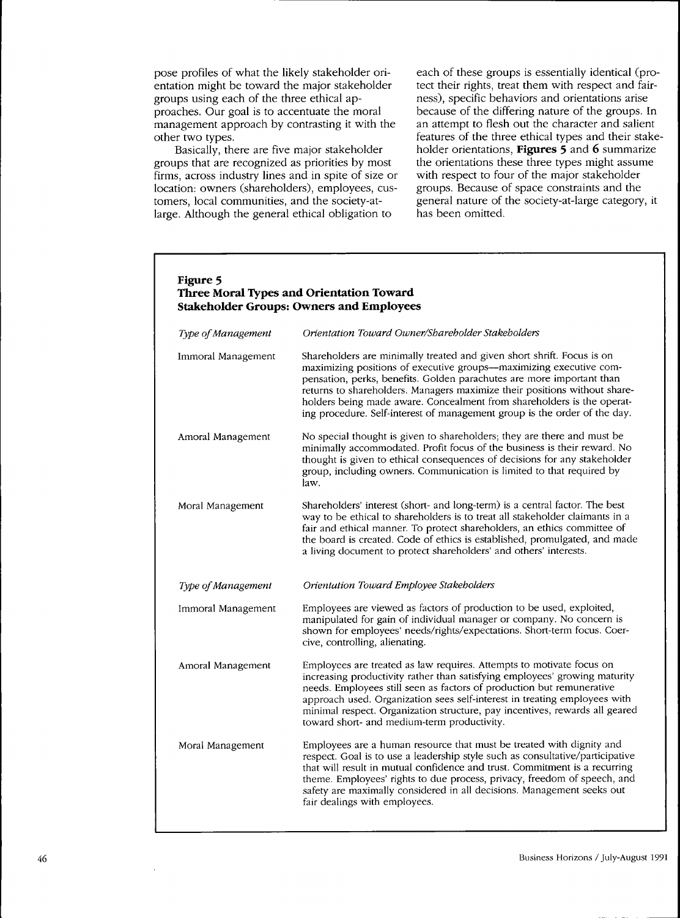pose profiles of what the likely stakeholder orientation might be toward the major stakeholder groups using each of the three ethical approaches. Our goal is to accentuate the moral management approach by contrasting it with the other two types.

Basically, there are five major stakeholder groups that are recognized as priorities by most firms, across industry lines and in spite of size or location: owners (shareholders), employees, customers, local communities, and the society-atlarge. Although the general ethical obligation to

each of these groups is essentially identical (protect their rights, treat them with respect and fairness), specific behaviors and orientations arise because of the differing nature of the groups. In an attempt to flesh out the character and salient features of the three ethical types and their stakeholder orientations. **Figures 5** and **6** summarize the orientations these three types might assume with respect to four of the major stakeholder groups. Because of space constraints and the general nature of the society-at-large category, it has been omitted.

#### **Figure 5 Three Moral Types and Orientation Toward Stakeholder Groups: Owners and Employees**

| Type of Management | Orientation Toward Owner/Shareholder Stakeholders                                                                                                                                                                                                                                                                                                                                                                                                         |
|--------------------|-----------------------------------------------------------------------------------------------------------------------------------------------------------------------------------------------------------------------------------------------------------------------------------------------------------------------------------------------------------------------------------------------------------------------------------------------------------|
| Immoral Management | Shareholders are minimally treated and given short shrift. Focus is on<br>maximizing positions of executive groups-maximizing executive com-<br>pensation, perks, benefits. Golden parachutes are more important than<br>returns to shareholders. Managers maximize their positions without share-<br>holders being made aware. Concealment from shareholders is the operat-<br>ing procedure. Self-interest of management group is the order of the day. |
| Amoral Management  | No special thought is given to shareholders; they are there and must be<br>minimally accommodated. Profit focus of the business is their reward. No<br>thought is given to ethical consequences of decisions for any stakeholder<br>group, including owners. Communication is limited to that required by<br>law.                                                                                                                                         |
| Moral Management   | Shareholders' interest (short- and long-term) is a central factor. The best<br>way to be ethical to shareholders is to treat all stakeholder claimants in a<br>fair and ethical manner. To protect shareholders, an ethics committee of<br>the board is created. Code of ethics is established, promulgated, and made<br>a living document to protect shareholders' and others' interests.                                                                |
|                    |                                                                                                                                                                                                                                                                                                                                                                                                                                                           |
| Type of Management | Orientation Toward Employee Stakeholders                                                                                                                                                                                                                                                                                                                                                                                                                  |
| Immoral Management | Employees are viewed as factors of production to be used, exploited,<br>manipulated for gain of individual manager or company. No concern is<br>shown for employees' needs/rights/expectations. Short-term focus. Coer-<br>cive, controlling, alienating.                                                                                                                                                                                                 |
| Amoral Management  | Employees are treated as law requires. Attempts to motivate focus on<br>increasing productivity rather than satisfying employees' growing maturity<br>needs. Employees still seen as factors of production but remunerative<br>approach used. Organization sees self-interest in treating employees with<br>minimal respect. Organization structure, pay incentives, rewards all geared<br>toward short- and medium-term productivity.                    |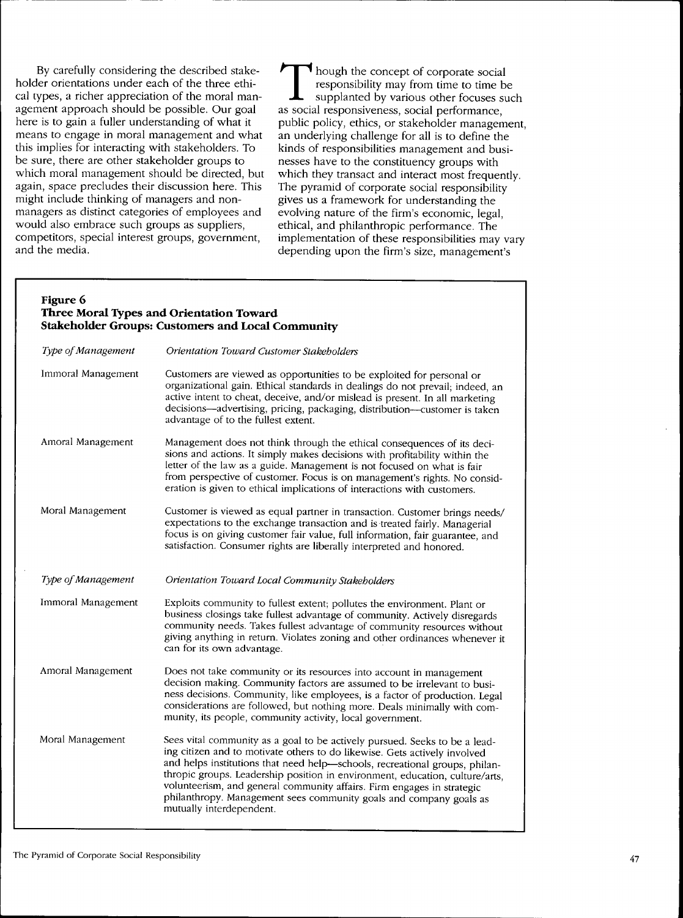By carefully considering the described stakeholder orientations under each of the three ethical types, a richer appreciation of the moral management approach should be possible. Our goal here is to gain a fuller understanding of what it means to engage in moral management and what this implies for interacting with stakeholders. To be sure, there are other stakeholder groups to which moral management should be directed, but again, space precludes their discussion here. This might include thinking of managers and nonmanagers as distinct categories of employees and would also embrace such groups as suppliers, competitors, special interest groups, government, and the media.

Though the concept of corporate social responsibility may from time to time I supplanted by various other focuses s as social responsiveness, social performance, hough the concept of corporate social responsibility may from time to time be supplanted by various other focuses such public policy, ethics, or stakeholder management, an underlying challenge for all is to define the kinds of responsibilities management and businesses have to the constituency groups with which they transact and interact most frequently. The pyramid of corporate social responsibility gives us a framework for understanding the evolving nature of the firm's economic, legal, ethical, and philanthropic performance. The implementation of these responsibilities may vary depending upon the firm's size, management's

#### **Figure 6 Three Moral Types and Orientation Toward Stakeholder Groups: Customers and Local Community**

| Type of Management | Orientation Toward Customer Stakeholders                                                                                                                                                                                                                                                                                                                                                                                                                                                           |
|--------------------|----------------------------------------------------------------------------------------------------------------------------------------------------------------------------------------------------------------------------------------------------------------------------------------------------------------------------------------------------------------------------------------------------------------------------------------------------------------------------------------------------|
| Immoral Management | Customers are viewed as opportunities to be exploited for personal or<br>organizational gain. Ethical standards in dealings do not prevail; indeed, an<br>active intent to cheat, deceive, and/or mislead is present. In all marketing<br>decisions—advertising, pricing, packaging, distribution—customer is taken<br>advantage of to the fullest extent.                                                                                                                                         |
| Amoral Management  | Management does not think through the ethical consequences of its deci-<br>sions and actions. It simply makes decisions with profitability within the<br>letter of the law as a guide. Management is not focused on what is fair<br>from perspective of customer. Focus is on management's rights. No consid-<br>eration is given to ethical implications of interactions with customers.                                                                                                          |
| Moral Management   | Customer is viewed as equal partner in transaction. Customer brings needs/<br>expectations to the exchange transaction and is treated fairly. Managerial<br>focus is on giving customer fair value, full information, fair guarantee, and<br>satisfaction. Consumer rights are liberally interpreted and honored.                                                                                                                                                                                  |
| Type of Management | Orientation Toward Local Community Stakeholders                                                                                                                                                                                                                                                                                                                                                                                                                                                    |
| Immoral Management | Exploits community to fullest extent; pollutes the environment. Plant or<br>business closings take fullest advantage of community. Actively disregards<br>community needs. Takes fullest advantage of community resources without<br>giving anything in return. Violates zoning and other ordinances whenever it<br>can for its own advantage.                                                                                                                                                     |
| Amoral Management  | Does not take community or its resources into account in management<br>decision making. Community factors are assumed to be irrelevant to busi-<br>ness decisions. Community, like employees, is a factor of production. Legal<br>considerations are followed, but nothing more. Deals minimally with com-<br>munity, its people, community activity, local government.                                                                                                                            |
| Moral Management   | Sees vital community as a goal to be actively pursued. Seeks to be a lead-<br>ing citizen and to motivate others to do likewise. Gets actively involved<br>and helps institutions that need help-schools, recreational groups, philan-<br>thropic groups. Leadership position in environment, education, culture/arts,<br>volunteerism, and general community affairs. Firm engages in strategic<br>philanthropy. Management sees community goals and company goals as<br>mutually interdependent. |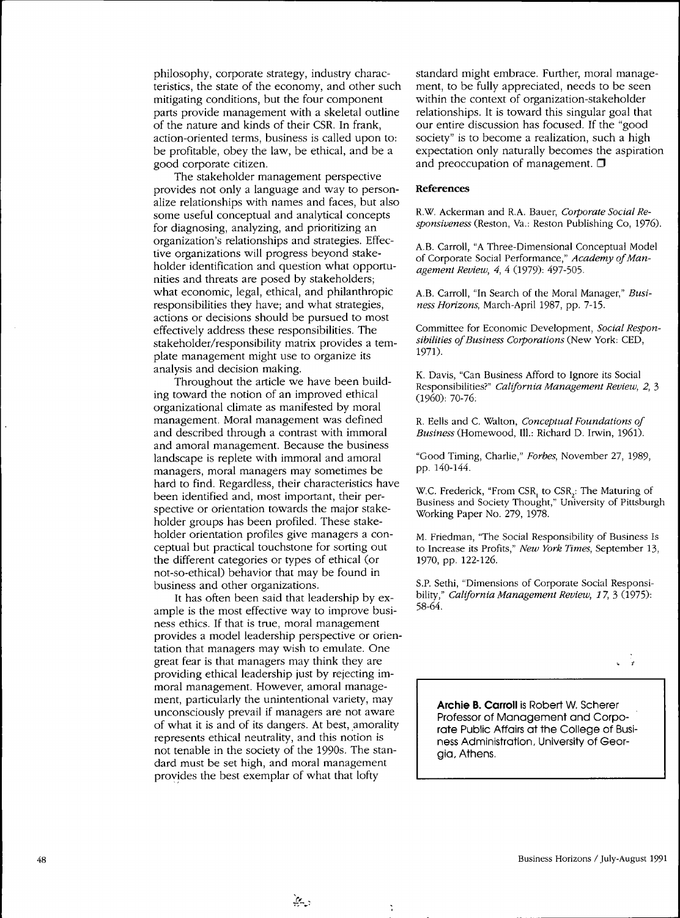philosophy, corporate strategy, industry characteristics, the state of the economy, and other such mitigating conditions, but the four component parts provide management with a skeletal outline of the nature and kinds of their CSR. In frank, action-oriented terms, business is called upon to: be profitable, obey the law, be ethical, and be a good corporate citizen.

The stakeholder management perspective provides not only a language and way to personalize relationships with names and faces, but also some useful conceptual and analytical concepts for diagnosing, analyzing, and prioritizing an organization's relationships and strategies. Fffective organizations will progress beyond stakeholder identification and question what opportunities and threats are posed by stakeholders; what economic, legal, ethical, and philanthropic responsibilities they have; and what strategies, actions or decisions should be pursued to most effectively address these responsibilities. The stakeholder/responsibility matrix provides a template management might use to organize its analysis and decision making.

Throughout the article we have been building toward the notion of an improved ethical organizational climate as manifested by moral management. Moral management was defined and described through a contrast with immoral and amoral management. Because the business landscape is replete with immoral and amoral managers, moral managers may sometimes be hard to find. Regardless, their characteristics have been identified and, most important, their perspective or orientation towards the major stakeholder groups has been profiled. These stakeholder orientation profiles give managers a conceptual but practical touchstone for sorting out the different categories or types of ethical (or not-so-ethical) behavior that may be found in business and other organizations.

It has often been said that leadership by example is the most effective way to improve business ethics. If that is true, moral management provides a model leadership perspective or orientation that managers may wish to emulate. One great fear is that managers may think they are providing ethical leadership just by rejecting immoral management. However, amoral management, particularly the unintentional variety, may unconsciously prevail if managers are not aware of what it is and of its dangers. At best, amorality represents ethical neutrality, and this notion is not tenable in the society of the 1990s. The standard must be set high, and moral management provides the best exemplar of what that lofty

**Xi. -**

÷,

standard might embrace. Further, moral management, to be fully appreciated, needs to be seen within the context of organization-stakeholder relationships. It is toward this singular goal that our entire discussion has focused. If the "good society" is to become a realization, such a high expectation only naturally becomes the aspiration and preoccupation of management.  $\Box$ 

#### **References**

R.W. Ackerman and R.A. Bauer, *Corporate Social Responsiveness (Reston,* Va.: Reston Publishing Co, 1976).

A.B. Carroll, "A Three-Dimensional Conceptual Model of Corporate Social Performance," *Academy of Management Review, 4,* 4 (1979): 497-505.

A.B. Carroll, "In Search of the Moral Manager," *Business Horizons,* March-April 1987, pp. 7-15.

Committee for Economic Development, *Social Responsibilities of Business Corporations* (New York: CED, 1971).

K. Davis, "Can Business Afford to Ignore its Social Responsibilities?" *California Management Review, 2,* 3 (I960): 70-76:

R. Eelis and C. Walton, *Conceptual Foundations of Business* (Homewood, Ill.: Richard D. Irwin, 1961).

"Good Timing, Charlie," *Forbes,* November 27, 1989, pp. 140-144.

W.C. Frederick, "From CSR, to CSR<sub>3</sub>: The Maturing of Business and Society Thought," University of Pittsburgh Working Paper No. 279, 1978.

M. Friedman, "The Sociai Responsibility of Business Is to Increase its Profits," *New York Times,* September 13, 1970, pp. 122-126.

S.P. Sethi, "Dimensions of Corporate Sociai Responsibility," California Management Review, 17, 3 (1975): 58-64.

l,

**Archie B. Carroll** is Robert W, Scherer Professor of Management and Corporate Public Affairs at the College ot Business Administration, University of Georgia, Athens.